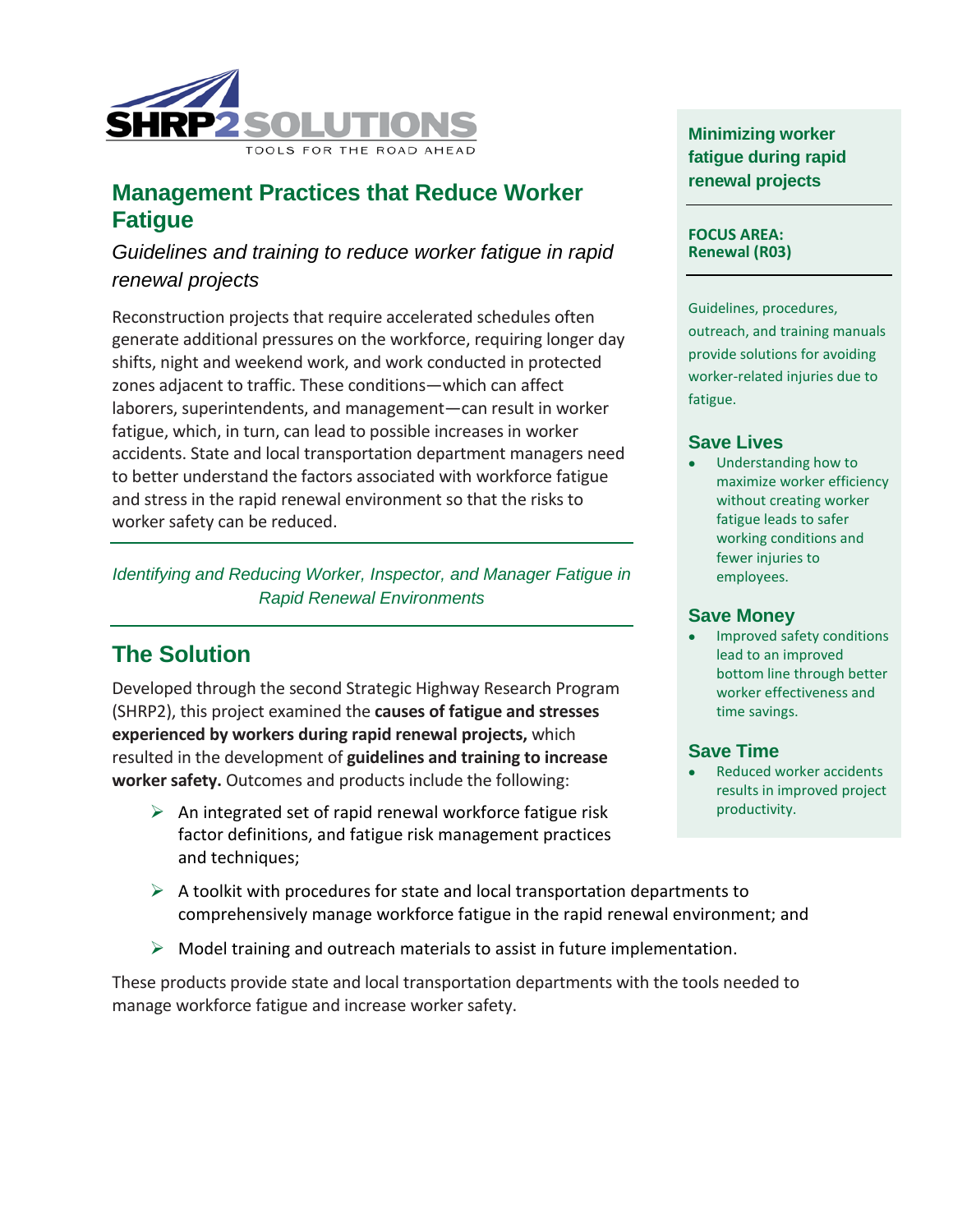

## **Management Practices that Reduce Worker Fatigue**

### *Guidelines and training to reduce worker fatigue in rapid renewal projects*

Reconstruction projects that require accelerated schedules often generate additional pressures on the workforce, requiring longer day shifts, night and weekend work, and work conducted in protected zones adjacent to traffic. These conditions—which can affect laborers, superintendents, and management—can result in worker fatigue, which, in turn, can lead to possible increases in worker accidents. State and local transportation department managers need to better understand the factors associated with workforce fatigue and stress in the rapid renewal environment so that the risks to worker safety can be reduced.

*Identifying and Reducing Worker, Inspector, and Manager Fatigue in Rapid Renewal Environments*

# **The Solution**

Developed through the second Strategic Highway Research Program (SHRP2), this project examined the **causes of fatigue and stresses experienced by workers during rapid renewal projects,** which resulted in the development of **guidelines and training to increase worker safety.** Outcomes and products include the following:

 $\triangleright$  An integrated set of rapid renewal workforce fatigue risk factor definitions, and fatigue risk management practices and techniques;

**Minimizing worker fatigue during rapid renewal projects**

#### **FOCUS AREA: Renewal (R03)**

Guidelines, procedures, outreach, and training manuals provide solutions for avoiding worker-related injuries due to fatigue.

#### **Save Lives**

• Understanding how to maximize worker efficiency without creating worker fatigue leads to safer working conditions and fewer injuries to employees.

#### **Save Money**

• Improved safety conditions lead to an improved bottom line through better worker effectiveness and time savings.

#### **Save Time**

- Reduced worker accidents results in improved project productivity.
- $\triangleright$  A toolkit with procedures for state and local transportation departments to comprehensively manage workforce fatigue in the rapid renewal environment; and
- $\triangleright$  Model training and outreach materials to assist in future implementation.

These products provide state and local transportation departments with the tools needed to manage workforce fatigue and increase worker safety.